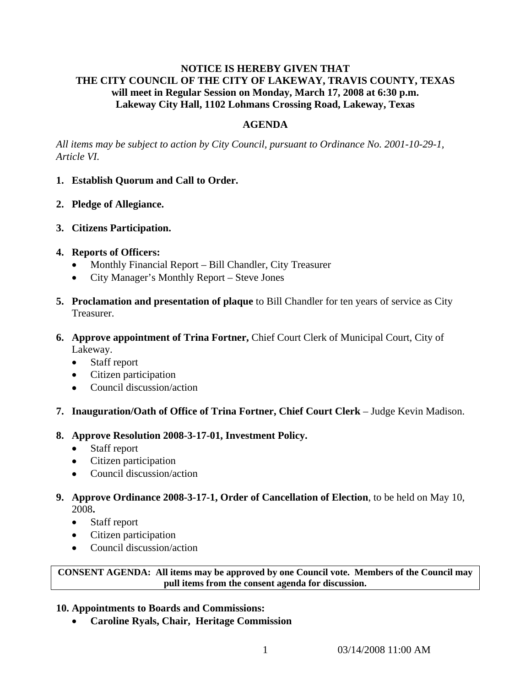# **NOTICE IS HEREBY GIVEN THAT THE CITY COUNCIL OF THE CITY OF LAKEWAY, TRAVIS COUNTY, TEXAS will meet in Regular Session on Monday, March 17, 2008 at 6:30 p.m. Lakeway City Hall, 1102 Lohmans Crossing Road, Lakeway, Texas**

# **AGENDA**

*All items may be subject to action by City Council, pursuant to Ordinance No. 2001-10-29-1, Article VI.* 

### **1. Establish Quorum and Call to Order.**

- **2. Pledge of Allegiance.**
- **3. Citizens Participation.**
- **4. Reports of Officers:**
	- Monthly Financial Report Bill Chandler, City Treasurer
	- City Manager's Monthly Report Steve Jones
- **5. Proclamation and presentation of plaque** to Bill Chandler for ten years of service as City Treasurer.
- **6. Approve appointment of Trina Fortner,** Chief Court Clerk of Municipal Court, City of Lakeway.
	- Staff report
	- Citizen participation
	- Council discussion/action
- **7. Inauguration/Oath of Office of Trina Fortner, Chief Court Clerk** Judge Kevin Madison.

### **8. Approve Resolution 2008-3-17-01, Investment Policy.**

- Staff report
- Citizen participation
- Council discussion/action
- **9. Approve Ordinance 2008-3-17-1, Order of Cancellation of Election**, to be held on May 10, 2008**.** 
	- Staff report
	- Citizen participation
	- Council discussion/action

**CONSENT AGENDA: All items may be approved by one Council vote. Members of the Council may pull items from the consent agenda for discussion.** 

### **10. Appointments to Boards and Commissions:**

• **Caroline Ryals, Chair, Heritage Commission**